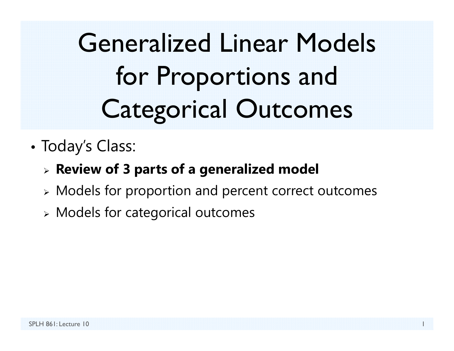Generalized Linear Models for Proportions and Categorical Outcomes

•Today's Class:

#### **Review of 3 parts of a generalized model**

- Models for proportion and percent correct outcomes
- $\triangleright$  Models for categorical outcomes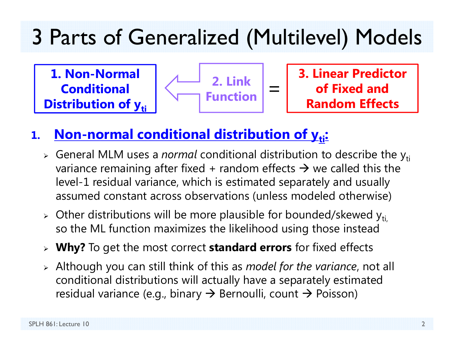#### 3 Parts of Generalized (Multilevel) Models

**1. Non-Normal Conditional Distribution of yti** 



**3. Linear Predictor of Fixed and Random Effects**

#### **1.Non-normal conditional distribution of y<sub>ti</sub>:**

- **>** General MLM uses a *normal* conditional distribution to describe the y<sub>ti</sub> variance remaining after fixed + random effects  $\bm{\rightarrow}$  we called this the level-1 residual variance, which is estimated separately and usually assumed constant across observations (unless modeled otherwise)
- $\triangleright$  Other distributions will be more plausible for bounded/skewed y<sub>ti,</sub> so the ML function maximizes the likelihood using those instead
- **Why?** To get the most correct **standard errors** for fixed effects
- Although you can still think of this as *model for the variance*, not all conditional distributions will actually have a separately estimated residual variance (e.g., binary  $\boldsymbol{\rightarrow}$  Bernoulli, count  $\boldsymbol{\rightarrow}$  Poisson)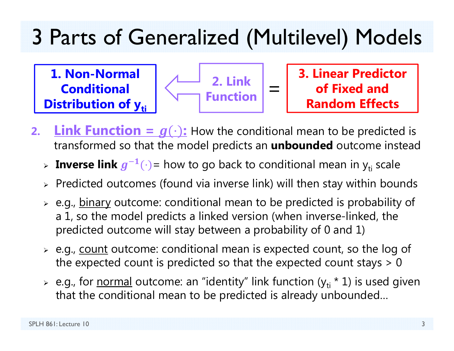### 3 Parts of Generalized (Multilevel) Models

**1. Non-Normal Conditional Distribution of y<sub>ti</sub>** 



**3. Linear Predictor of Fixed and Random Effects**

- **2.Link Function =**  $g(\cdot)$ **:** How the conditional mean to be predicted is transformed so that the model predicts an **unbounded** outcome instead
	- > Inverse link  $g^{-1}(\cdot)$  = how to go back to conditional mean in y<sub>ti</sub> scale
	- $\triangleright$  Predicted outcomes (found via inverse link) will then stay within bounds
	- > e.g., <u>binary</u> outcome: conditional mean to be predicted is probability of a 1, so the model predicts a linked version (when inverse-linked, the predicted outcome will stay between a probability of 0 and 1)
	- > e.g., <u>count</u> outcome: conditional mean is expected count, so the log of the expected count is predicted so that the expected count stays  $> 0$
	- > e.g., for <u>normal</u> outcome: an "identity" link function (y<sub>ti</sub> \* 1) is used given that the conditional mean to be predicted is already unbounded…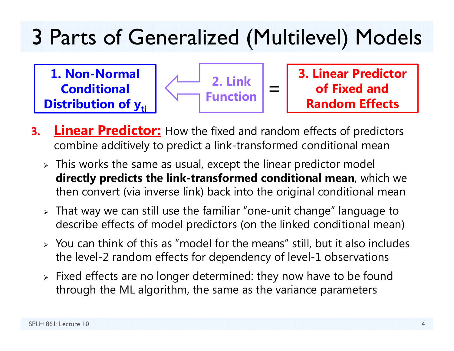#### 3 Parts of Generalized (Multilevel) Models

**1. Non-Normal Conditional Distribution of yti** 



**3. Linear Predictor of Fixed and Random Effects**

- **3.Linear Predictor:** How the fixed and random effects of predictors combine additively to predict a link-transformed conditional mean
	- $\triangleright$  This works the same as usual, except the linear predictor model **directly predicts the link-transformed conditional mean**, which we then convert (via inverse link) back into the original conditional mean
	- $\triangleright$  That way we can still use the familiar "one-unit change" language to describe effects of model predictors (on the linked conditional mean)
	- $\triangleright$  You can think of this as "model for the means" still, but it also includes the level-2 random effects for dependency of level-1 observations
	- $\triangleright$  Fixed effects are no longer determined: they now have to be found through the ML algorithm, the same as the variance parameters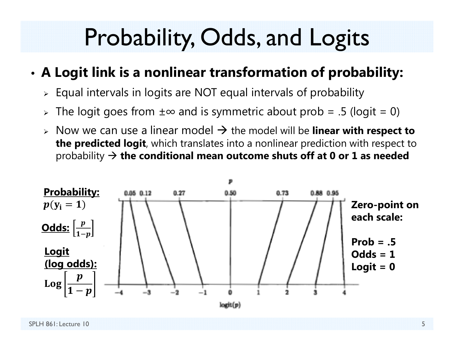# Probability, Odds, and Logits

#### •**A Logit link is a nonlinear transformation of probability:**

- $\triangleright$  Equal intervals in logits are NOT equal intervals of probability
- > The logit goes from ±∞ and is symmetric about prob = .5 (logit = 0)
- **► Now we can use a linear model → the model will be linear with respect to the predicted logit**, which translates into a nonlinear prediction with respect to probability **the conditional mean outcome shuts off at 0 or 1 as needed**

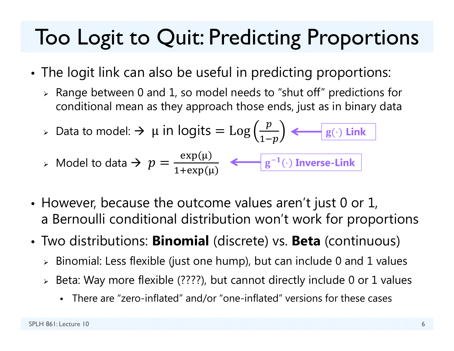### Too Logit to Quit: Predicting Proportions

- • The logit link can also be useful in predicting proportions:
	- $\triangleright$  Range between 0 and 1, so model needs to "shut off" predictions for conditional mean as they approach those ends, just as in binary data

► Data to model: → 
$$
\mu
$$
 in logits =  $\text{Log}\left(\frac{p}{1-p}\right)$  ←  $g(\cdot)$  Link

$$
\triangleright \text{ Model to data} \ni p = \frac{\exp(\mu)}{1 + \exp(\mu)} \quad \Longleftarrow \boxed{g^{-1}(\cdot) \text{ Inverse-Link}}
$$

- However, because the outcome values aren't just 0 or 1, a Bernoulli conditional distribution won't work for proportions
- Two distributions: **Binomial** (discrete) vs. **Beta** (continuous)
	- $\triangleright$  Binomial: Less flexible (just one hump), but can include 0 and 1 values
	- Beta: Way more flexible (????), but cannot directly include 0 or 1 values
		- There are "zero-inflated" and/or "one-inflated" versions for these cases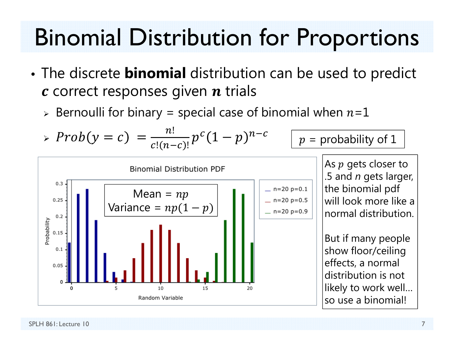# **Binomial Distribution for Proportions**

- The discrete **binomial** distribution can be used to predict  $c$  correct responses given  $n$  trials
	- > Bernoulli for binary = special case of binomial when  $n=1$

$$
\sum_{\substack{0.3 \\ 0.25 \text{ g} \text{ times} \\ \frac{2}{3} \text{ g} \text{ times}}} \frac{1}{\left[\frac{\text{Mean} = np}{\text{Mean} + np(1-p)}\right]} \left[\frac{\text{Mean} = np}{\text{Mean} + np(1-p)}\right]
$$
\n
$$
\sum_{\substack{0.3 \\ 0.3 \\ 0.05 \text{ g} \text{ times}}} \frac{\text{Mean} = np}{\left[\frac{\text{Mean} = np(1-p)}{\text{Mean} + np(1-p)}\right]}
$$
\n
$$
\sum_{\substack{0.3 \\ 0.05 \text{ g} \text{ times} \\ \text{Mean} = np(1-p)}{\text{Mean} + np(1-p)}} \left[\frac{\text{Mean} = np}{\text{Mean} + np(1-p)}\right]
$$
\n
$$
\sum_{\substack{0.3 \\ 0.05 \text{ g} \text{ times} \\ \text{Mean} = np(1-p)}{\text{Mean} + np(1-p)}\right]
$$
\n
$$
\sum_{\substack{0.3 \\ 0.3 \\ 0.5 \text{ g} \text{ times} \\ \text{flow floor/ceiling} \\ \text{flow floor/ceiling} \\ \text{show floor/ceiling} \\ \text{show work well...} \\ \text{so use a binomial!}} \left[\frac{\text{Mean} \times \text{width}}{\text{Mean} \times \text{width}}\right]
$$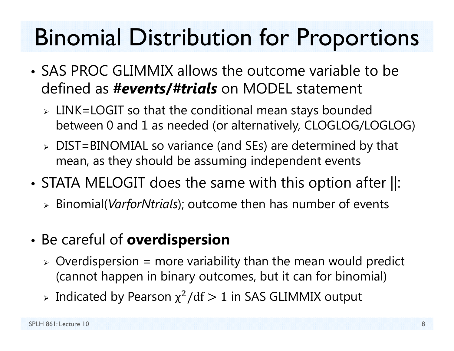# Binomial Distribution for Proportions

- SAS PROC GLIMMIX allows the outcome variable to be defined as *#events***/***#trials* on MODEL statement
	- LINK=LOGIT so that the conditional mean stays bounded between 0 and 1 as needed (or alternatively, CLOGLOG/LOGLOG)
	- DIST=BINOMIAL so variance (and SEs) are determined by that mean, as they should be assuming independent events
- • STATA MELOGIT does the same with this option after ||:
	- Binomial(*VarforNtrials*); outcome then has number of events
- • Be careful of **overdispersion**
	- $\triangleright$  Overdispersion = more variability than the mean would predict (cannot happen in binary outcomes, but it can for binomial)
	- > Indicated by Pearson  $\chi^2/\mathrm{df} > 1$  in SAS GLIMMIX output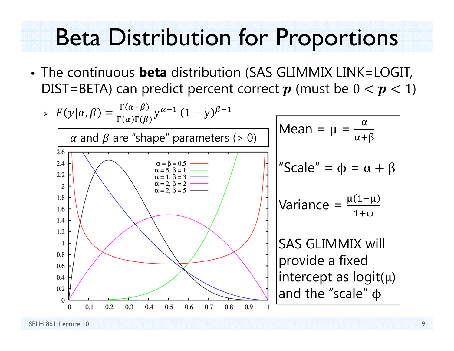## **Beta Distribution for Proportions**

• The continuous **beta** distribution (SAS GLIMMIX LINK=LOGIT, DIST=BETA) can predict percent correct  $p$  (must be  $0 < p < 1$ )

| $F(y \alpha, \beta) = \frac{\Gamma(\alpha+\beta)}{\Gamma(\alpha)\Gamma(\beta)} y^{\alpha-1} (1-y)^{\beta-1}$ | $\alpha$ and $\beta$ are "shape" parameters (> 0) | $\text{Mean} = \mu = \frac{\alpha}{\alpha+\beta}$ |
|--------------------------------------------------------------------------------------------------------------|---------------------------------------------------|---------------------------------------------------|
| $\alpha$ and $\beta$ are "shape" parameters (> 0)                                                            | $\text{Mean} = \mu = \frac{\alpha}{\alpha+\beta}$ |                                                   |
| $\alpha$ and $\beta$ are "shape" parameters (> 0)                                                            | $\text{Mean} = \mu = \frac{\alpha}{\alpha+\beta}$ |                                                   |
| $\alpha$ and $\beta$ are "shape" parameters (> 0)                                                            | $\text{Scalar} = \frac{\alpha}{\alpha+1}$         |                                                   |
| $\alpha$ and $\beta$ are "shape" parameters (> 0)                                                            | $\text{Scalar} = \frac{\alpha}{\alpha+1}$         |                                                   |
| $\alpha$ and $\beta$ are "shape" parameters (> 0)                                                            | $\text{Standardized}$                             |                                                   |
| $\alpha$ and $\beta$ are "shape" parameters (> 0)                                                            | $\text{Standardized}$                             |                                                   |
| $\alpha$ and $\beta$ are "shape" parameters (> 0)                                                            | $\text{Standardized}$                             |                                                   |
| $\alpha$ and $\beta$ are "shape" parameters ( $\beta$ )                                                      | $\text{Standardized}$                             |                                                   |
| $\alpha$ and $\beta$ are "shape" parameters ( $\beta$ )                                                      | $\text{Standardized}$                             |                                                   |
| $\alpha$ and $\beta$ are "shape" parameters ( $\beta$ )                                                      | $\text{Standardized}$                             |                                                   |
| $\alpha$ and $\beta$ are "shape" parameters ( $\beta$ )                                                      | $\text{Standardized}$                             |                                                   |
| $\alpha$ and $\beta$ are "shape" parameters ( $\beta$                                                        |                                                   |                                                   |

 $\blacktriangleright$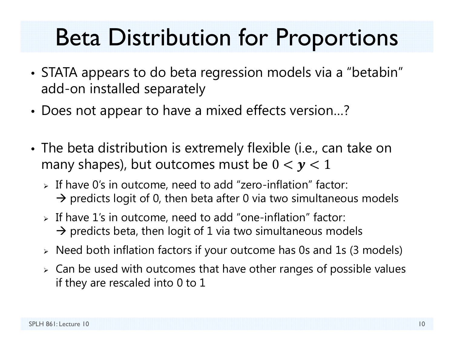## Beta Distribution for Proportions

- STATA appears to do beta regression models via a "betabin" add-on installed separately
- •Does not appear to have a mixed effects version…?
- • The beta distribution is extremely flexible (i.e., can take on many shapes), but outcomes must be  $0 < y < 1$ 
	- If have 0's in outcome, need to add "zero-inflation" factor:  $\rightarrow$  predicts logit of 0, then beta after 0 via two simultaneous models
	- $\triangleright$  If have 1's in outcome, need to add "one-inflation" factor:  $\rightarrow$  predicts beta, then logit of 1 via two simultaneous models
	- $\triangleright$   $\,$  Need both inflation factors if your outcome has 0s and 1s (3 models)
	- $\triangleright$  Can be used with outcomes that have other ranges of possible values if they are rescaled into 0 to 1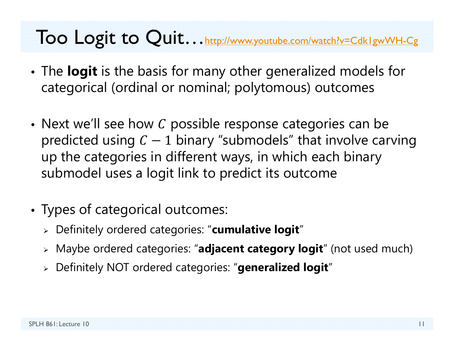#### Too Logit to Quit... http://www.youtube.com/watch?v=Cdk1gwWH-Cg

- • The **logit** is the basis for many other generalized models for categorical (ordinal or nominal; polytomous) outcomes
- $\bullet\,$  Next we'll see how  ${\it C}$  possible response categories can be predicted using  $C-1$  binary "submodels" that involve carving up the categories in different ways, in which each binary submodel uses a logit link to predict its outcome
- • Types of categorical outcomes:
	- Definitely ordered categories: "**cumulative logit** "
	- Maybe ordered categories: "**adjacent category logit**" (not used much)
	- Definitely NOT ordered categories: "**generalized logit** "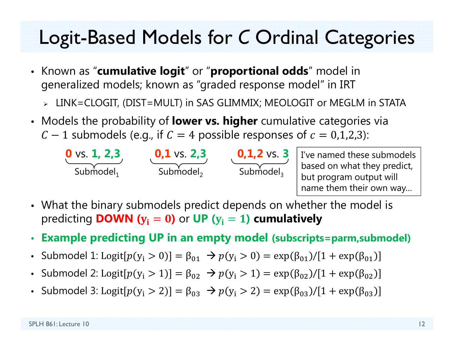#### Logit-Based Models for *C* Ordinal Categories

- Known as "**cumulative logit**" or "**proportional odds**" model in generalized models; known as "graded response model" in IRT
	- LINK=CLOGIT, (DIST=MULT) in SAS GLIMMIX; MEOLOGIT or MEGLM in STATA
- Models the probability of **lower vs. higher** cumulative categories via
	- $\mathcal{C}-1$  submodels (e.g., if  $\mathcal{C}=4$  possible responses of  $\mathcal{C}=0.1$ ,2,3):



I've named these submodels based on what they predict, but program output will name them their own way…

- What the binary submodels predict depends on whether the model is predicting **DOWN (** ܡܑ ൌ **)** or **UP (** ܡܑ ൌ **) cumulatively**
- **Example predicting UP in an empty model (subscripts=parm,submodel)**
- Submodel 1: Logit[ $p(y_i > 0)$ ] =  $\beta_{01} \rightarrow p(y_i > 0)$  = exp( $\beta_{01}$ )/[1 + exp( $\beta_{01}$
- Submodel 2: Logit[ $p(y_i > 1)$ ] = β<sub>02</sub>  $\to p(y_i > 1)$  = exp(β<sub>02</sub>)/[1 + exp(β<sub>02</sub>
- Submodel 3: Logit[ $p(y_i > 2)$ ] = β<sub>03</sub>  $\to p(y_i > 2)$  = exp(β<sub>03</sub>)/[1 + exp(β<sub>03</sub>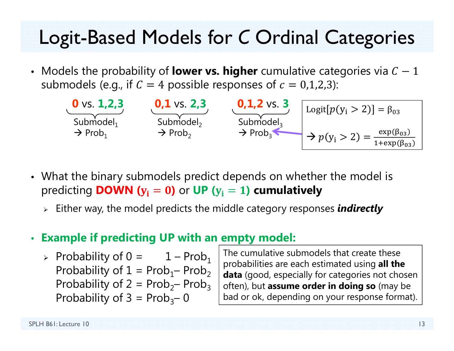#### Logit-Based Models for C Ordinal Categories

• Models the probability of **lower vs. higher** cumulative categories via  $C - 1$ submodels (e.g., if  $C = 4$  possible responses of  $c = 0,1,2,3$ ):



- What the binary submodels predict depends on whether the model is predicting **DOWN** ( $y_i = 0$ ) or UP ( $y_i = 1$ ) cumulatively
	- $\triangleright$  Either way, the model predicts the middle category responses *indirectly*

#### **Example if predicting UP with an empty model:**

> Probability of  $0 = 1 - Prob_1$ Probability of  $1 = Prob_1 - Prob_2$ Probability of  $2 = Prob_2$ – Prob<sub>3</sub> Probability of  $3 = Prob_3 - 0$ 

The cumulative submodels that create these probabilities are each estimated using all the **data** (good, especially for categories not chosen often), but assume order in doing so (may be bad or ok, depending on your response format).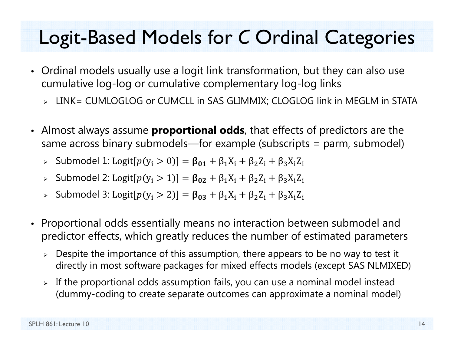#### Logit-Based Models for *C* Ordinal Categories

- Ordinal models usually use a logit link transformation, but they can also use cumulative log-log or cumulative complementary log-log links
	- LINK= CUMLOGLOG or CUMCLL in SAS GLIMMIX; CLOGLOG link in MEGLM in STATA
- Almost always assume **proportional odds**, that effects of predictors are the same across binary submodels—for example (subscripts = parm, submodel)
	- ► Submodel 1: Logit[ $p(y_i > 0)$ ] =  $β_{01} + β_1X_i + β_2Z_i + β_3X_iZ_i$
	- ► Submodel 2: Logit[ $p(y_i > 1)$ ] =  $β_{02} + β_1X_i + β_2Z_i + β_3X_iZ_i$
	- > Submodel 3: Logit[ $p(y_i > 2)$ ] = β<sub>03</sub> + β<sub>1</sub>X<sub>i</sub> + β<sub>2</sub>Z<sub>i</sub> + β<sub>3</sub>X<sub>i</sub>Z<sub>i</sub>
- Proportional odds essentially means no interaction between submodel and predictor effects, which greatly reduces the number of estimated parameters
	- $\triangleright$  Despite the importance of this assumption, there appears to be no way to test it directly in most software packages for mixed effects models (except SAS NLMIXED)
	- $\triangleright$  If the proportional odds assumption fails, you can use a nominal model instead (dummy-coding to create separate outcomes can approximate a nominal model)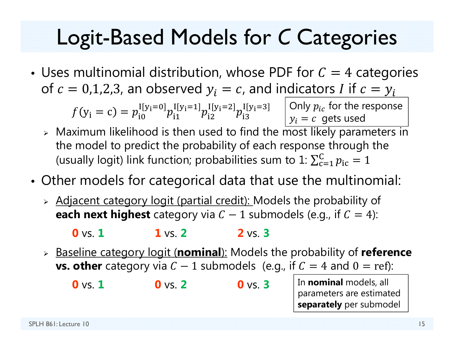#### Logit-Based Models for *C* Categories

•• Uses multinomial distribution, whose PDF for  $\mathcal{C}=4$  categories of  $c=0$ ,1,2,3, an observed  $y_i=c$ , and indicators  $I$  if  $c=y_i$ 

> $f(y_i = c) = p_{i0}^{\text{I}[y_i=0]} p_{i1}^{\text{I}[y_i=1]} p_{i2}^{\text{I}[y_i=2]} p_{i3}^{\text{I}[y_i=3]}$  Only  $p_{ic}$  for the response  ${\color{black} y}_i = {\color{black} c} \,$  gets used

- $\triangleright$  Maximum likelihood is then used to find the most likely parameters in the model to predict the probability of each response through the (usually logit) link function; probabilities sum to  $1\mathrm{:}\sum_{\mathrm{c}=1}^\mathrm{C} p_\mathrm{ic}$  $_{c=1}^{C} p_{ic} = 1$
- • Other models for categorical data that use the multinomial:
	- Adjacent category logit (partial credit): Models the probability of **each next highest** category via  $C - 1$  submodels (e.g., if  $C = 4$ ):

**0** vs. **11** vs. **22** vs. **3**

 Baseline category logit (**nominal**): Models the probability of **reference vs. other** category via  $C - 1$  submodels (e.g., if  $C = 4$  and  $0 = ref$ ):

**0** vs. **10** vs. **20** vs. **3**

In **nominal** models, all parameters are estimated **separately** per submodel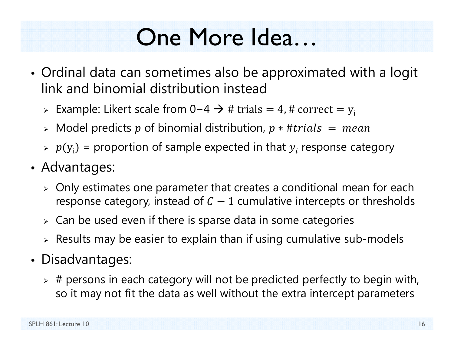# One More Idea…

- Ordinal data can sometimes also be approximated with a logit link and binomial distribution instead
	- > Example: Likert scale from 0−4  $\rightarrow$  # trials = 4, # correct =  $\rm{y}_i$
	- $\triangleright$  Model predicts  $p$  of binomial distribution,  $p$   $\ast$  # $trials~=~mean$
	- $\varphi \colon p(y_i) =$  proportion of sample expected in that  $y_i$  response category
- Advantages:
	- $\triangleright$  Only estimates one parameter that creates a conditional mean for each response category, instead of  $C-1$  cumulative intercepts or thresholds
	- $\triangleright\;$  Can be used even if there is sparse data in some categories
	- $\triangleright$  Results may be easier to explain than if using cumulative sub-models
- Disadvantages:
	- $\triangleright$  # persons in each category will not be predicted perfectly to begin with, so it may not fit the data as well without the extra intercept parameters